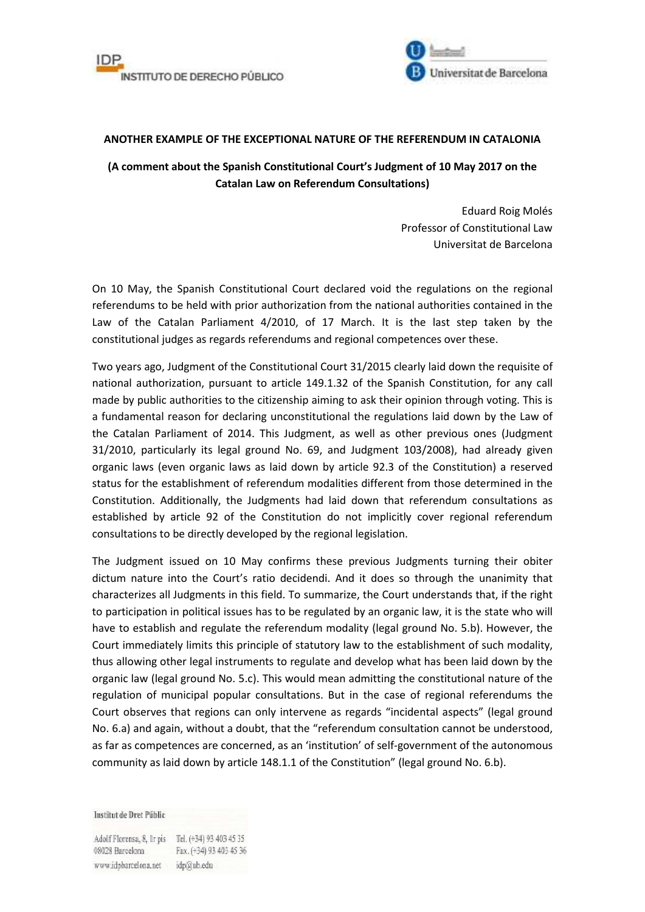



## **ANOTHER EXAMPLE OF THE EXCEPTIONAL NATURE OF THE REFERENDUM IN CATALONIA**

## **(A comment about the Spanish Constitutional Court's Judgment of 10 May 2017 on the Catalan Law on Referendum Consultations)**

Eduard Roig Molés Professor of Constitutional Law Universitat de Barcelona

On 10 May, the Spanish Constitutional Court declared void the regulations on the regional referendums to be held with prior authorization from the national authorities contained in the Law of the Catalan Parliament 4/2010, of 17 March. It is the last step taken by the constitutional judges as regards referendums and regional competences over these.

Two years ago, Judgment of the Constitutional Court 31/2015 clearly laid down the requisite of national authorization, pursuant to article 149.1.32 of the Spanish Constitution, for any call made by public authorities to the citizenship aiming to ask their opinion through voting. This is a fundamental reason for declaring unconstitutional the regulations laid down by the Law of the Catalan Parliament of 2014. This Judgment, as well as other previous ones (Judgment 31/2010, particularly its legal ground No. 69, and Judgment 103/2008), had already given organic laws (even organic laws as laid down by article 92.3 of the Constitution) a reserved status for the establishment of referendum modalities different from those determined in the Constitution. Additionally, the Judgments had laid down that referendum consultations as established by article 92 of the Constitution do not implicitly cover regional referendum consultations to be directly developed by the regional legislation.

The Judgment issued on 10 May confirms these previous Judgments turning their obiter dictum nature into the Court's ratio decidendi. And it does so through the unanimity that characterizes all Judgments in this field. To summarize, the Court understands that, if the right to participation in political issues has to be regulated by an organic law, it is the state who will have to establish and regulate the referendum modality (legal ground No. 5.b). However, the Court immediately limits this principle of statutory law to the establishment of such modality, thus allowing other legal instruments to regulate and develop what has been laid down by the organic law (legal ground No. 5.c). This would mean admitting the constitutional nature of the regulation of municipal popular consultations. But in the case of regional referendums the Court observes that regions can only intervene as regards "incidental aspects" (legal ground No. 6.a) and again, without a doubt, that the "referendum consultation cannot be understood, as far as competences are concerned, as an 'institution' of self-government of the autonomous community as laid down by article 148.1.1 of the Constitution" (legal ground No. 6.b).

Institut de Dret Públic

Adolf Florensa, 8, Ir pis Tel. (+34) 93 403 45 35 08028 Barcelona Fax. (+34) 93 403 45 36 www.idpbarcelona.net idp@ub.edu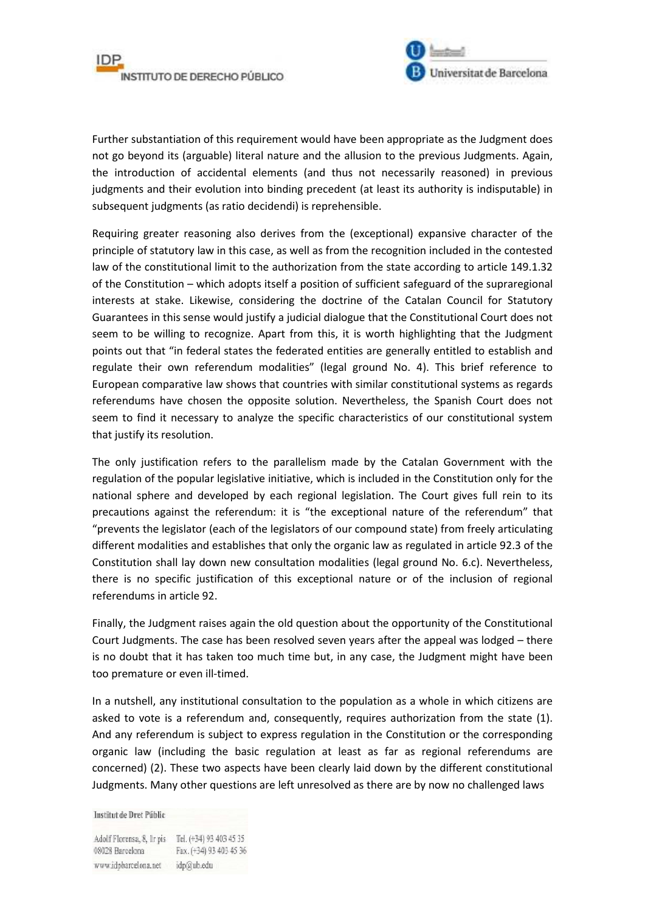



Further substantiation of this requirement would have been appropriate as the Judgment does not go beyond its (arguable) literal nature and the allusion to the previous Judgments. Again, the introduction of accidental elements (and thus not necessarily reasoned) in previous judgments and their evolution into binding precedent (at least its authority is indisputable) in subsequent judgments (as ratio decidendi) is reprehensible.

Requiring greater reasoning also derives from the (exceptional) expansive character of the principle of statutory law in this case, as well as from the recognition included in the contested law of the constitutional limit to the authorization from the state according to article 149.1.32 of the Constitution – which adopts itself a position of sufficient safeguard of the supraregional interests at stake. Likewise, considering the doctrine of the Catalan Council for Statutory Guarantees in this sense would justify a judicial dialogue that the Constitutional Court does not seem to be willing to recognize. Apart from this, it is worth highlighting that the Judgment points out that "in federal states the federated entities are generally entitled to establish and regulate their own referendum modalities" (legal ground No. 4). This brief reference to European comparative law shows that countries with similar constitutional systems as regards referendums have chosen the opposite solution. Nevertheless, the Spanish Court does not seem to find it necessary to analyze the specific characteristics of our constitutional system that justify its resolution.

The only justification refers to the parallelism made by the Catalan Government with the regulation of the popular legislative initiative, which is included in the Constitution only for the national sphere and developed by each regional legislation. The Court gives full rein to its precautions against the referendum: it is "the exceptional nature of the referendum" that "prevents the legislator (each of the legislators of our compound state) from freely articulating different modalities and establishes that only the organic law as regulated in article 92.3 of the Constitution shall lay down new consultation modalities (legal ground No. 6.c). Nevertheless, there is no specific justification of this exceptional nature or of the inclusion of regional referendums in article 92.

Finally, the Judgment raises again the old question about the opportunity of the Constitutional Court Judgments. The case has been resolved seven years after the appeal was lodged – there is no doubt that it has taken too much time but, in any case, the Judgment might have been too premature or even ill-timed.

In a nutshell, any institutional consultation to the population as a whole in which citizens are asked to vote is a referendum and, consequently, requires authorization from the state (1). And any referendum is subject to express regulation in the Constitution or the corresponding organic law (including the basic regulation at least as far as regional referendums are concerned) (2). These two aspects have been clearly laid down by the different constitutional Judgments. Many other questions are left unresolved as there are by now no challenged laws

Institut de Dret Públic

Adolf Florensa, 8, Ir pis Tel. (+34) 93 403 45 35 08028 Barcelona Fax. (+34) 93 403 45 36 www.idpbarcelona.net idp@ub.edu